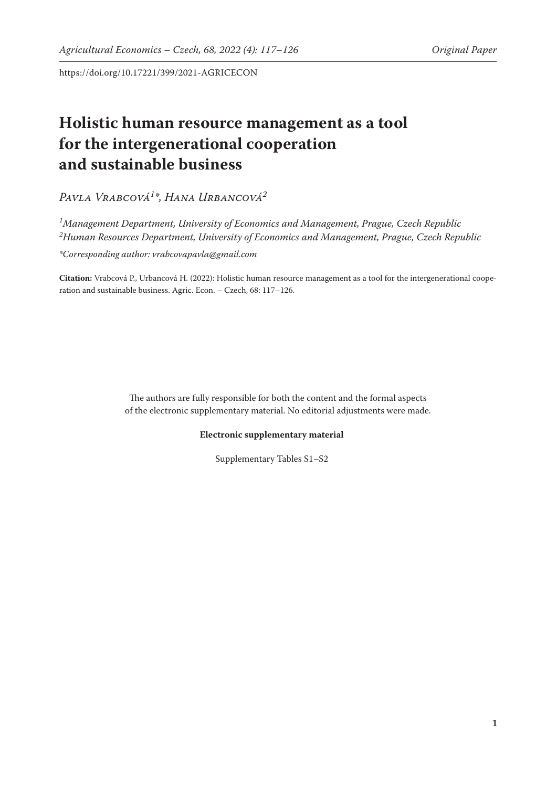https://doi.org/10.17221/399/2021-AGRICECON

## **Holistic human resource management as a tool for the intergenerational cooperation and sustainable business**

*Pavla Vrabcová1 \*, Hana Urbancová2*

*1 Management Department, University of Economics and Management, Prague, Czech Republic 2 Human Resources Department, University of Economics and Management, Prague, Czech Republic*

*\*Corresponding author: vrabcovapavla@gmail.com*

**Citation:** Vrabcová P., Urbancová H. (2022): Holistic human resource management as a tool for the intergenerational cooperation and sustainable business. Agric. Econ. – Czech, 68: 117–126.

> The authors are fully responsible for both the content and the formal aspects of the electronic supplementary material. No editorial adjustments were made.

## **Electronic supplementary material**

Supplementary Tables S1–S2